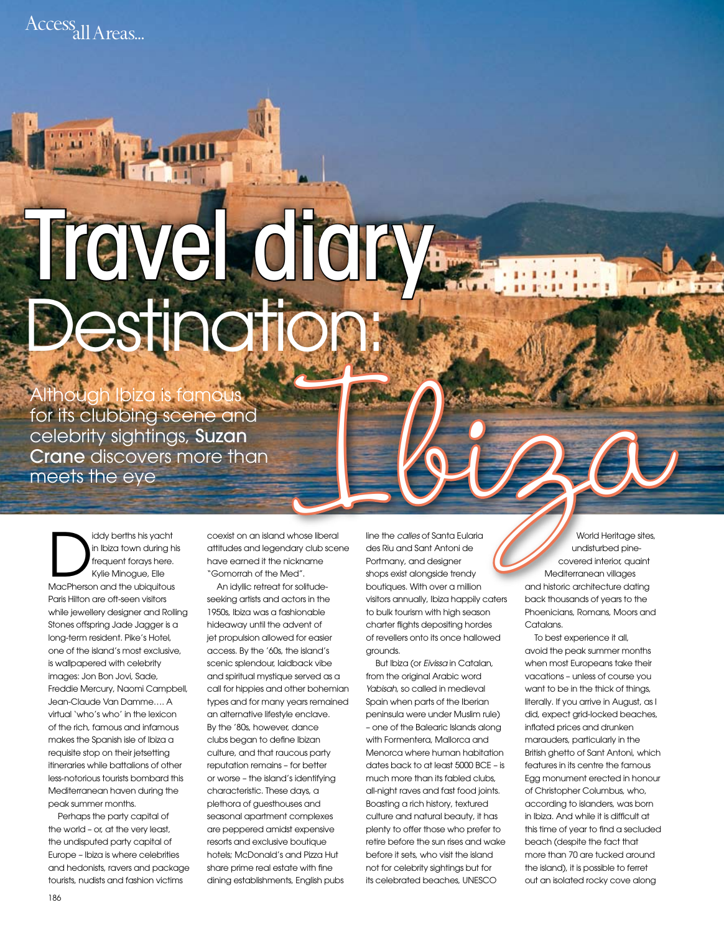Access<sub>all</sub> Areas...

## **Travel didity**<br>Destination **Destination:**<br>
Although Ibiza is famous<br>
for its clubbing scene and<br>
celebrity sightings, Suzan<br>
Crane discovers more than<br>
meets the eye<br>
Discontinued:<br>
Discount of the screen of the contact and although the contact stri

Although Ibiza is famous for its clubbing scene and celebrity sightings, Suzan Crane discovers more than meets the eye

iddy berths his yacht<br>in Ibiza town during h<br>frequent forays here.<br>Kylie Minogue, Elle<br>MacPherson and the ubiquitous in Ibiza town during his frequent forays here. Kylie Minogue, Elle MacPherson and the ubiquitous Paris Hilton are oft-seen visitors while jewellery designer and Rolling Stones offspring Jade Jagger is a long-term resident. Pike's Hotel, one of the island's most exclusive, is wallpapered with celebrity images: Jon Bon Jovi, Sade, Freddie Mercury, Naomi Campbell, Jean-Claude Van Damme…. A virtual 'who's who' in the lexicon of the rich, famous and infamous makes the Spanish isle of Ibiza a requisite stop on their jetsetting itineraries while battalions of other less-notorious tourists bombard this Mediterranean haven during the peak summer months.

Perhaps the party capital of the world – or, at the very least, the undisputed party capital of Europe – Ibiza is where celebrities and hedonists, ravers and package tourists, nudists and fashion victims

coexist on an island whose liberal attitudes and legendary club scene have earned it the nickname "Gomorrah of the Med".

An idyllic retreat for solitudeseeking artists and actors in the 1950s, Ibiza was a fashionable hideaway until the advent of jet propulsion allowed for easier access. By the '60s, the island's scenic splendour, laidback vibe and spiritual mystique served as a call for hippies and other bohemian types and for many years remained an alternative lifestyle enclave. By the '80s, however, dance clubs began to define Ibizan culture, and that raucous party reputation remains – for better or worse – the island's identifying characteristic. These days, a plethora of guesthouses and seasonal apartment complexes are peppered amidst expensive resorts and exclusive boutique hotels; McDonald's and Pizza Hut share prime real estate with fine dining establishments, English pubs

line the *calles* of Santa Eularia des Riu and Sant Antoni de Portmany, and designer shops exist alongside trendy boutiques. With over a million visitors annually, Ibiza happily caters to bulk tourism with high season charter flights depositing hordes of revellers onto its once hallowed grounds.

But Ibiza (or *Eivissa* in Catalan, from the original Arabic word *Yabisah*, so called in medieval Spain when parts of the Iberian peninsula were under Muslim rule) – one of the Balearic Islands along with Formentera, Mallorca and Menorca where human habitation dates back to at least 5000 BCE – is much more than its fabled clubs, all-night raves and fast food joints. Boasting a rich history, textured culture and natural beauty, it has plenty to offer those who prefer to retire before the sun rises and wake before it sets, who visit the island not for celebrity sightings but for its celebrated beaches, UNESCO

World Heritage sites, undisturbed pinecovered interior, quaint Mediterranean villages and historic architecture dating back thousands of years to the Phoenicians, Romans, Moors and Catalans.

To best experience it all, avoid the peak summer months when most Europeans take their vacations – unless of course you want to be in the thick of things, literally. If you arrive in August, as I did, expect grid-locked beaches, inflated prices and drunken marauders, particularly in the British ghetto of Sant Antoni, which features in its centre the famous Egg monument erected in honour of Christopher Columbus, who, according to islanders, was born in Ibiza. And while it is difficult at this time of year to find a secluded beach (despite the fact that more than 70 are tucked around the island), it is possible to ferret out an isolated rocky cove along